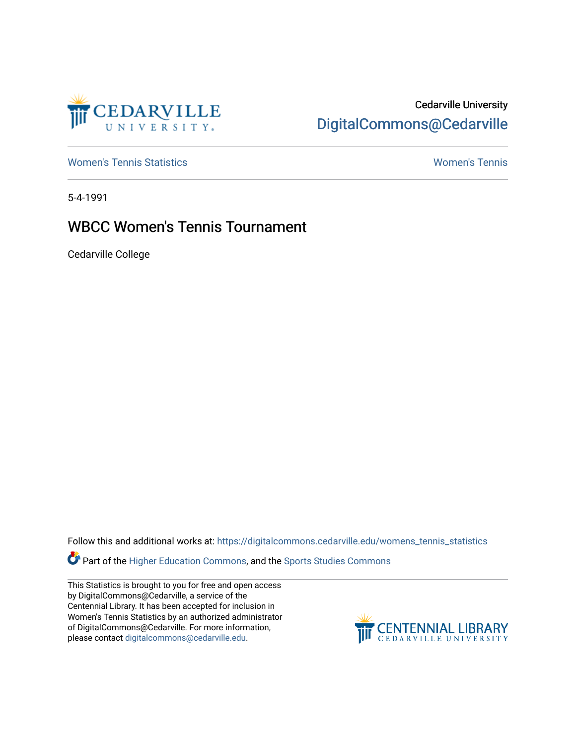

## Cedarville University [DigitalCommons@Cedarville](https://digitalcommons.cedarville.edu/)

[Women's Tennis Statistics](https://digitalcommons.cedarville.edu/womens_tennis_statistics) [Women's Tennis](https://digitalcommons.cedarville.edu/womens_tennis) 

5-4-1991

## WBCC Women's Tennis Tournament

Cedarville College

Follow this and additional works at: [https://digitalcommons.cedarville.edu/womens\\_tennis\\_statistics](https://digitalcommons.cedarville.edu/womens_tennis_statistics?utm_source=digitalcommons.cedarville.edu%2Fwomens_tennis_statistics%2F133&utm_medium=PDF&utm_campaign=PDFCoverPages) 

**Part of the [Higher Education Commons,](http://network.bepress.com/hgg/discipline/1245?utm_source=digitalcommons.cedarville.edu%2Fwomens_tennis_statistics%2F133&utm_medium=PDF&utm_campaign=PDFCoverPages) and the Sports Studies Commons** 

This Statistics is brought to you for free and open access by DigitalCommons@Cedarville, a service of the Centennial Library. It has been accepted for inclusion in Women's Tennis Statistics by an authorized administrator of DigitalCommons@Cedarville. For more information, please contact [digitalcommons@cedarville.edu](mailto:digitalcommons@cedarville.edu).

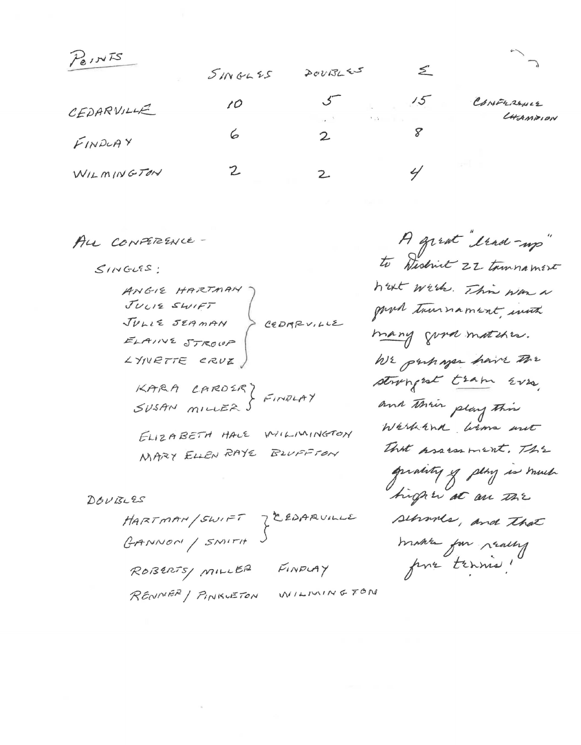Peints

| 101        | 5116655 | 20002255             |                     |                       |
|------------|---------|----------------------|---------------------|-----------------------|
| CEDARVILLE | 10      | $\sim$ $\sim$ $\sim$ | 15<br>$\lambda = 2$ | CONFRANCE<br>LHAMPION |
| FINDUAY    |         | $\mathcal{Z}$        |                     |                       |
| WILMINGTON |         |                      |                     |                       |

ALL CONFERENCE-

 $SINGUIS$ :

ANGIE HARTMAN JULIE SWIFT CEDARVILLE JULIE SEAMAN ELAINE STROUP LYNETTE CRUE,

KARA LAROSR) FINDLAY

ELIZABETH HALE WILLIMINGTON MARY ELLEN RAYE BLUFFTON

DOUBLES

CEDARUILLE HARTMAN/SWIFT GANNON / SMITH FINDLAY ROBERTS MILLER MILMINGTON RENIVER / PINKUETON

A great trad-up" to Wislink 22 tammament hat wich. This was a goved tournament, with many good matches. WE purhaper have the strongest tram Evro. and their play this Warkand wims ant That prosess ment. The quality of play is much tright at an The sehrones, and that make for really pour tennes!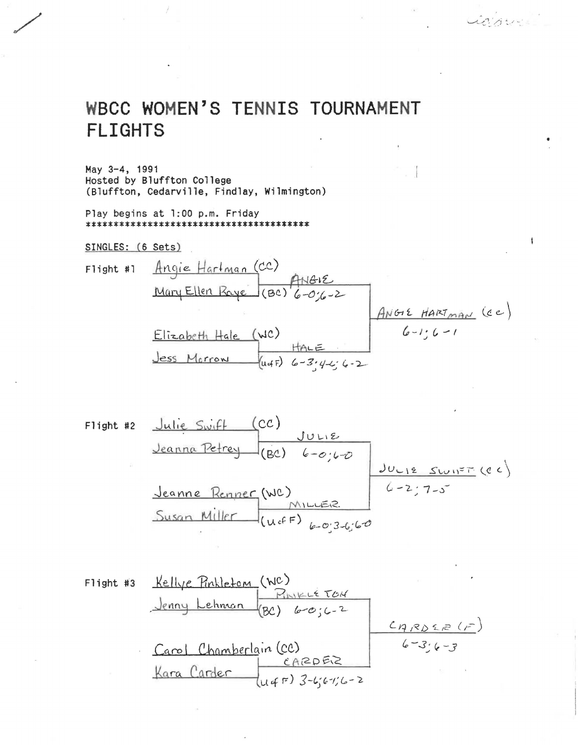## WBCC WOMEN'S TENNIS TOURNAMENT **FLIGHTS**

May 3-4, 1991 Hosted by Bluffton College (Bluffton, Cedarville, Findlay, Wilmington)

Play begins at 1:00 p.m. Friday 

SINGLES: (6 Sets)

Liaberte

 $\pmb{\mathfrak{f}}$ 

Figure 43

\nClearly, 
$$
Rellye
$$
 Rinkletom (NC)

\nRemark 43

\ndenny Lehman (RC)

\n $Log(2) 60;62$ 

\nCarol

\nChamberlain (CC)

\nFor a Carter

\nUqF) 3-6;67;6-2

\nAns. 2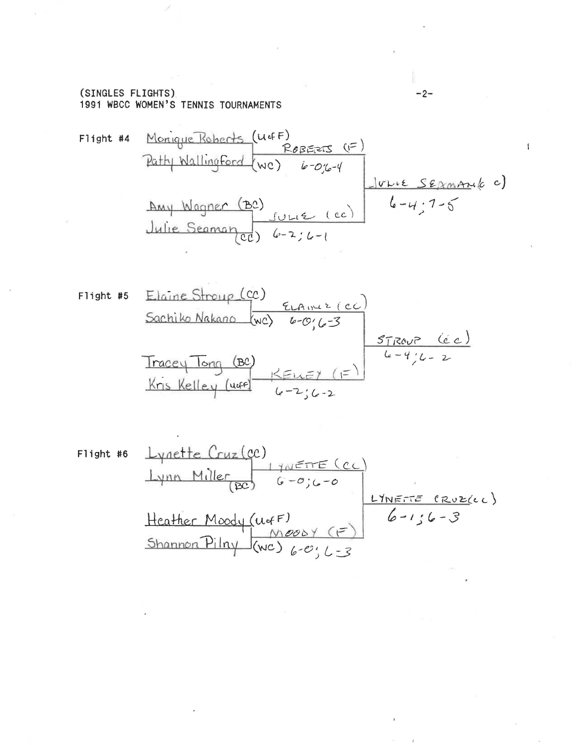#### (SINGLES FLIGHTS) 1991 WBCC WOMEN'S TENNIS TOURNAMENTS

Flight #4 Monique Roberts (UGF)

\nPath Wallingford (WC)

\n
$$
6-0\% - 4
$$
\nAny Wagner (BC)

\n
$$
6-0\% - 4
$$
\n
$$
6-4\% - 7-5
$$
\nJulie Seaman (CC)

\n
$$
6-3\% - 1
$$
\nUse Sepan (C)

\n
$$
6-3\% - 1
$$
\nUse Sec. (C)

Figure 15

\nEachiko Nakano (oc)

\nEachiko Nakano (wc)

\n
$$
6-0.6-3
$$

\nTracey Tong (BC)

\nKris Keller (c) 6-4.6-2.6-2

\nKris Keller (u4-4.6-2.6-2)

Flight #6  
\nLynn Miller  
\n(BC)  
\n
$$
G-0;G-0
$$
  
\nLynr\nLynr\nMiller  
\n(BC)  
\n $G-0;G-0$   
\n $Lynrrrf (Rvz(c))$   
\nHcather Moody (ufr)\n $G-1;G-3$   
\nShannon Pilny (wc)  
\n $G-0;L=3$ 

 $-2-$ 

 $\ddagger$